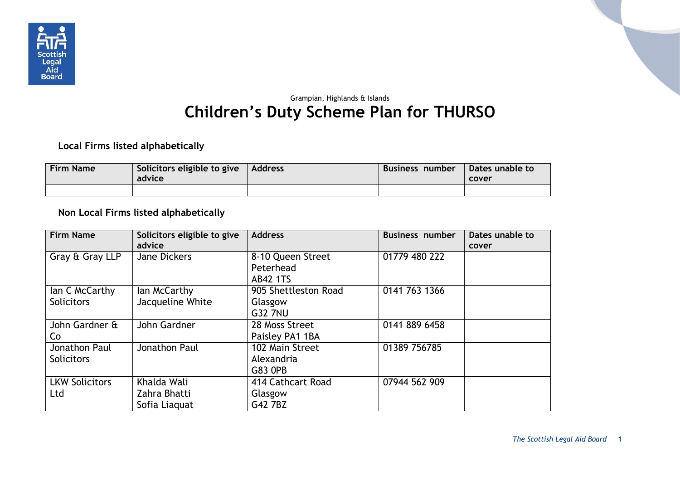

## Grampian, Highlands & Islands **Children's Duty Scheme Plan for THURSO**

## **Local Firms listed alphabetically**

| <b>Firm Name</b> | Solicitors eligible to give $\vert$ Address<br>advice | Business number | Dates unable to<br>cover |
|------------------|-------------------------------------------------------|-----------------|--------------------------|
|                  |                                                       |                 |                          |

## **Non Local Firms listed alphabetically**

| <b>Firm Name</b>                    | Solicitors eligible to give<br>advice        | <b>Address</b>                                    | <b>Business number</b> | Dates unable to<br>cover |
|-------------------------------------|----------------------------------------------|---------------------------------------------------|------------------------|--------------------------|
| Gray & Gray LLP                     | Jane Dickers                                 | 8-10 Queen Street<br>Peterhead<br><b>AB42 1TS</b> | 01779 480 222          |                          |
| lan C McCarthy<br><b>Solicitors</b> | lan McCarthy<br>Jacqueline White             | 905 Shettleston Road<br>Glasgow<br><b>G32 7NU</b> | 0141 763 1366          |                          |
| John Gardner &<br>Co                | John Gardner                                 | 28 Moss Street<br>Paisley PA1 1BA                 | 0141 889 6458          |                          |
| Jonathon Paul<br><b>Solicitors</b>  | Jonathon Paul                                | 102 Main Street<br>Alexandria<br>G83 0PB          | 01389 756785           |                          |
| <b>LKW Solicitors</b><br>Ltd        | Khalda Wali<br>Zahra Bhatti<br>Sofia Liaguat | 414 Cathcart Road<br>Glasgow<br>G42 7BZ           | 07944 562 909          |                          |